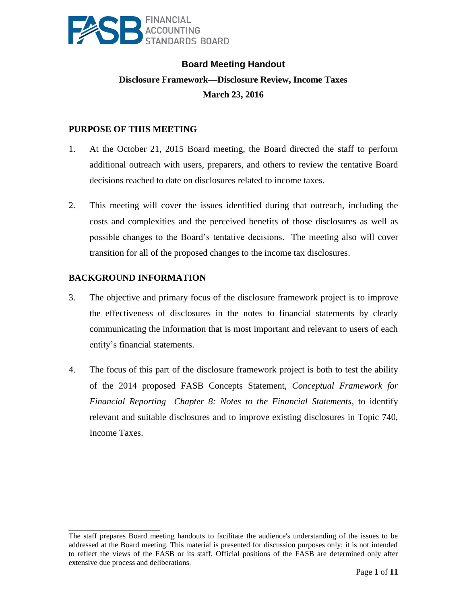

# **Board Meeting Handout Disclosure Framework—Disclosure Review, Income Taxes March 23, 2016**

# **PURPOSE OF THIS MEETING**

- 1. At the October 21, 2015 Board meeting, the Board directed the staff to perform additional outreach with users, preparers, and others to review the tentative Board decisions reached to date on disclosures related to income taxes.
- 2. This meeting will cover the issues identified during that outreach, including the costs and complexities and the perceived benefits of those disclosures as well as possible changes to the Board's tentative decisions. The meeting also will cover transition for all of the proposed changes to the income tax disclosures.

# **BACKGROUND INFORMATION**

\_\_\_\_\_\_\_\_\_\_\_\_\_\_\_\_\_\_\_\_\_\_\_\_

- 3. The objective and primary focus of the disclosure framework project is to improve the effectiveness of disclosures in the notes to financial statements by clearly communicating the information that is most important and relevant to users of each entity's financial statements.
- 4. The focus of this part of the disclosure framework project is both to test the ability of the 2014 proposed FASB Concepts Statement, *Conceptual Framework for Financial Reporting—Chapter 8: Notes to the Financial Statements*, to identify relevant and suitable disclosures and to improve existing disclosures in Topic 740, Income Taxes.

The staff prepares Board meeting handouts to facilitate the audience's understanding of the issues to be addressed at the Board meeting. This material is presented for discussion purposes only; it is not intended to reflect the views of the FASB or its staff. Official positions of the FASB are determined only after extensive due process and deliberations.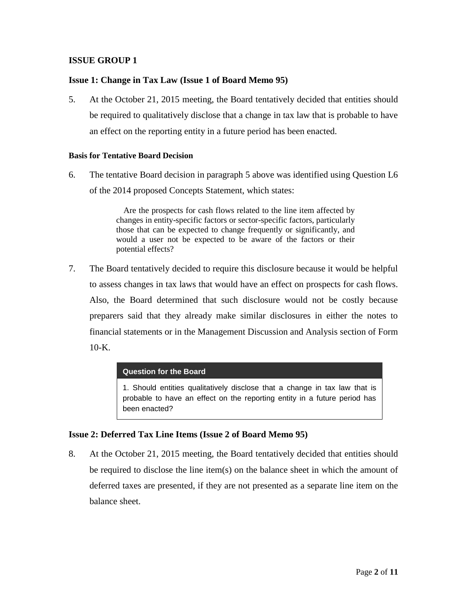## **Issue 1: Change in Tax Law (Issue 1 of Board Memo 95)**

5. At the October 21, 2015 meeting, the Board tentatively decided that entities should be required to qualitatively disclose that a change in tax law that is probable to have an effect on the reporting entity in a future period has been enacted.

#### **Basis for Tentative Board Decision**

6. The tentative Board decision in paragraph 5 above was identified using Question L6 of the 2014 proposed Concepts Statement, which states:

> Are the prospects for cash flows related to the line item affected by changes in entity-specific factors or sector-specific factors, particularly those that can be expected to change frequently or significantly, and would a user not be expected to be aware of the factors or their potential effects?

7. The Board tentatively decided to require this disclosure because it would be helpful to assess changes in tax laws that would have an effect on prospects for cash flows. Also, the Board determined that such disclosure would not be costly because preparers said that they already make similar disclosures in either the notes to financial statements or in the Management Discussion and Analysis section of Form 10-K.

#### **Question for the Board**

1. Should entities qualitatively disclose that a change in tax law that is probable to have an effect on the reporting entity in a future period has been enacted?

## **Issue 2: Deferred Tax Line Items (Issue 2 of Board Memo 95)**

8. At the October 21, 2015 meeting, the Board tentatively decided that entities should be required to disclose the line item(s) on the balance sheet in which the amount of deferred taxes are presented, if they are not presented as a separate line item on the balance sheet.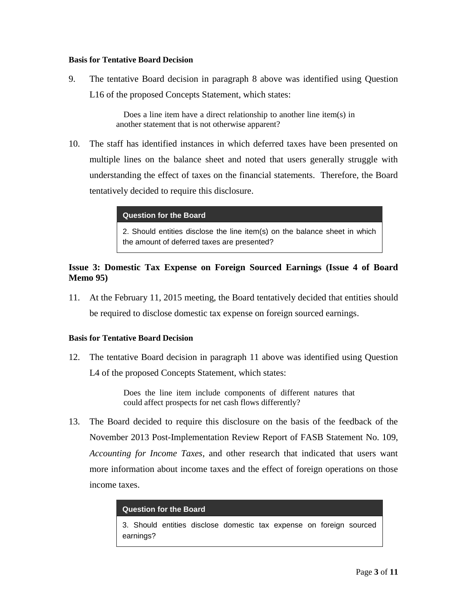#### **Basis for Tentative Board Decision**

9. The tentative Board decision in paragraph 8 above was identified using Question L16 of the proposed Concepts Statement, which states:

> Does a line item have a direct relationship to another line item(s) in another statement that is not otherwise apparent?

10. The staff has identified instances in which deferred taxes have been presented on multiple lines on the balance sheet and noted that users generally struggle with understanding the effect of taxes on the financial statements. Therefore, the Board tentatively decided to require this disclosure.

**Question for the Board**

2. Should entities disclose the line item(s) on the balance sheet in which the amount of deferred taxes are presented?

## **Issue 3: Domestic Tax Expense on Foreign Sourced Earnings (Issue 4 of Board Memo 95)**

11. At the February 11, 2015 meeting, the Board tentatively decided that entities should be required to disclose domestic tax expense on foreign sourced earnings.

#### **Basis for Tentative Board Decision**

12. The tentative Board decision in paragraph 11 above was identified using Question L4 of the proposed Concepts Statement, which states:

> Does the line item include components of different natures that could affect prospects for net cash flows differently?

13. The Board decided to require this disclosure on the basis of the feedback of the November 2013 Post-Implementation Review Report of FASB Statement No. 109, *Accounting for Income Taxes*, and other research that indicated that users want more information about income taxes and the effect of foreign operations on those income taxes.

| Question for the Board .                                                         |  |  |  |  |  |  |  |  |
|----------------------------------------------------------------------------------|--|--|--|--|--|--|--|--|
| 3. Should entities disclose domestic tax expense on foreign sourced<br>earnings? |  |  |  |  |  |  |  |  |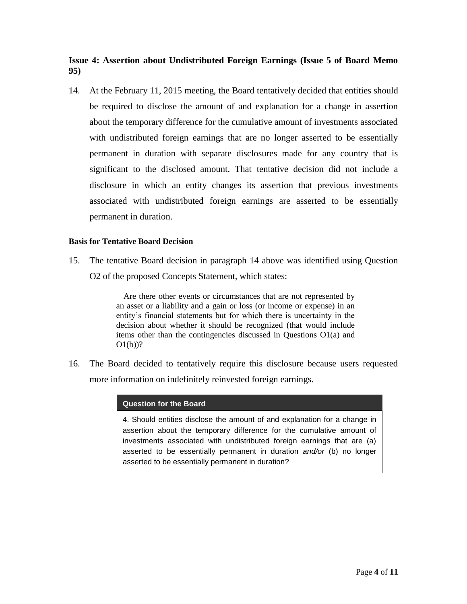# **Issue 4: Assertion about Undistributed Foreign Earnings (Issue 5 of Board Memo 95)**

14. At the February 11, 2015 meeting, the Board tentatively decided that entities should be required to disclose the amount of and explanation for a change in assertion about the temporary difference for the cumulative amount of investments associated with undistributed foreign earnings that are no longer asserted to be essentially permanent in duration with separate disclosures made for any country that is significant to the disclosed amount. That tentative decision did not include a disclosure in which an entity changes its assertion that previous investments associated with undistributed foreign earnings are asserted to be essentially permanent in duration.

## **Basis for Tentative Board Decision**

15. The tentative Board decision in paragraph 14 above was identified using Question O2 of the proposed Concepts Statement, which states:

> Are there other events or circumstances that are not represented by an asset or a liability and a gain or loss (or income or expense) in an entity's financial statements but for which there is uncertainty in the decision about whether it should be recognized (that would include items other than the contingencies discussed in Questions O1(a) and  $O(1(b))$ ?

16. The Board decided to tentatively require this disclosure because users requested more information on indefinitely reinvested foreign earnings.

#### **Question for the Board**

4. Should entities disclose the amount of and explanation for a change in assertion about the temporary difference for the cumulative amount of investments associated with undistributed foreign earnings that are (a) asserted to be essentially permanent in duration *and/or* (b) no longer asserted to be essentially permanent in duration?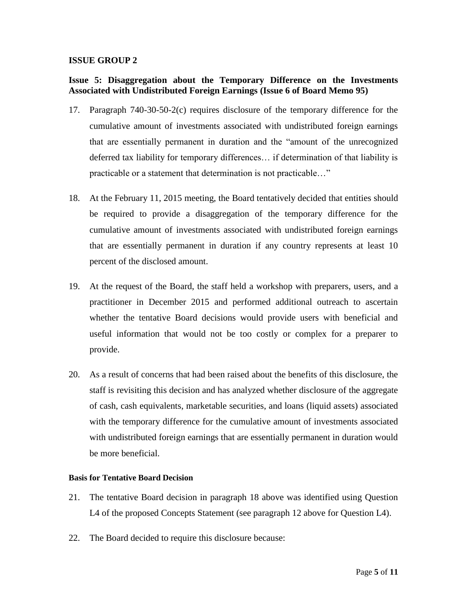# **Issue 5: Disaggregation about the Temporary Difference on the Investments Associated with Undistributed Foreign Earnings (Issue 6 of Board Memo 95)**

- 17. Paragraph 740-30-50-2(c) requires disclosure of the temporary difference for the cumulative amount of investments associated with undistributed foreign earnings that are essentially permanent in duration and the "amount of the unrecognized deferred tax liability for temporary differences… if determination of that liability is practicable or a statement that determination is not practicable…"
- 18. At the February 11, 2015 meeting, the Board tentatively decided that entities should be required to provide a disaggregation of the temporary difference for the cumulative amount of investments associated with undistributed foreign earnings that are essentially permanent in duration if any country represents at least 10 percent of the disclosed amount.
- 19. At the request of the Board, the staff held a workshop with preparers, users, and a practitioner in December 2015 and performed additional outreach to ascertain whether the tentative Board decisions would provide users with beneficial and useful information that would not be too costly or complex for a preparer to provide.
- 20. As a result of concerns that had been raised about the benefits of this disclosure, the staff is revisiting this decision and has analyzed whether disclosure of the aggregate of cash, cash equivalents, marketable securities, and loans (liquid assets) associated with the temporary difference for the cumulative amount of investments associated with undistributed foreign earnings that are essentially permanent in duration would be more beneficial.

## **Basis for Tentative Board Decision**

- 21. The tentative Board decision in paragraph 18 above was identified using Question L4 of the proposed Concepts Statement (see paragraph 12 above for Question L4).
- 22. The Board decided to require this disclosure because: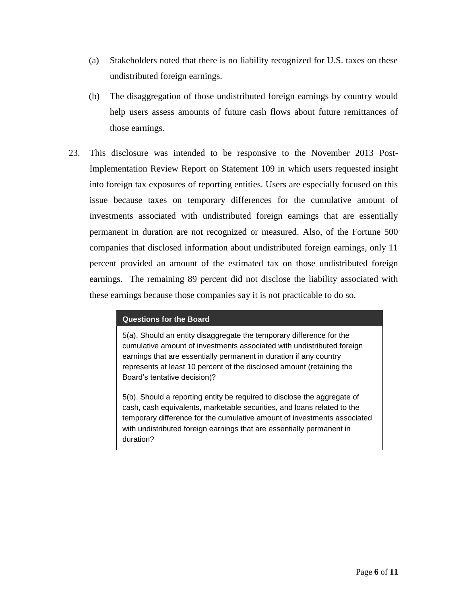- (a) Stakeholders noted that there is no liability recognized for U.S. taxes on these undistributed foreign earnings.
- (b) The disaggregation of those undistributed foreign earnings by country would help users assess amounts of future cash flows about future remittances of those earnings.
- 23. This disclosure was intended to be responsive to the November 2013 Post-Implementation Review Report on Statement 109 in which users requested insight into foreign tax exposures of reporting entities. Users are especially focused on this issue because taxes on temporary differences for the cumulative amount of investments associated with undistributed foreign earnings that are essentially permanent in duration are not recognized or measured. Also, of the Fortune 500 companies that disclosed information about undistributed foreign earnings, only 11 percent provided an amount of the estimated tax on those undistributed foreign earnings. The remaining 89 percent did not disclose the liability associated with these earnings because those companies say it is not practicable to do so.

#### **Questions for the Board**

5(a). Should an entity disaggregate the temporary difference for the cumulative amount of investments associated with undistributed foreign earnings that are essentially permanent in duration if any country represents at least 10 percent of the disclosed amount (retaining the Board's tentative decision)?

5(b). Should a reporting entity be required to disclose the aggregate of cash, cash equivalents, marketable securities, and loans related to the temporary difference for the cumulative amount of investments associated with undistributed foreign earnings that are essentially permanent in duration?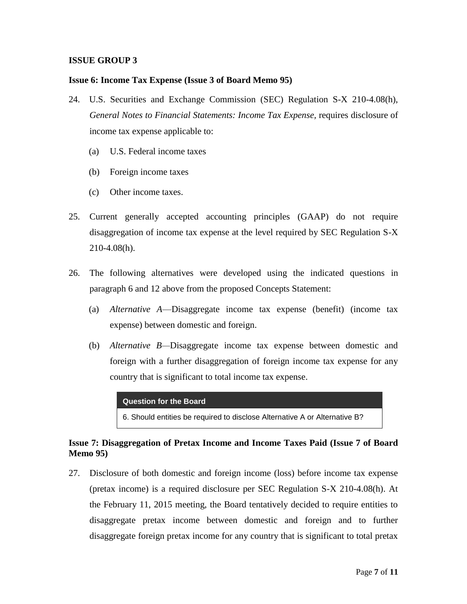#### **Issue 6: Income Tax Expense (Issue 3 of Board Memo 95)**

- 24. U.S. Securities and Exchange Commission (SEC) Regulation S-X 210-4.08(h), *General Notes to Financial Statements: Income Tax Expense,* requires disclosure of income tax expense applicable to:
	- (a) U.S. Federal income taxes
	- (b) Foreign income taxes
	- (c) Other income taxes.
- 25. Current generally accepted accounting principles (GAAP) do not require disaggregation of income tax expense at the level required by SEC Regulation S-X 210-4.08(h).
- 26. The following alternatives were developed using the indicated questions in paragraph 6 and 12 above from the proposed Concepts Statement:
	- (a) *Alternative A*—Disaggregate income tax expense (benefit) (income tax expense) between domestic and foreign.
	- (b) *Alternative B—*Disaggregate income tax expense between domestic and foreign with a further disaggregation of foreign income tax expense for any country that is significant to total income tax expense.

**Question for the Board**

6. Should entities be required to disclose Alternative A or Alternative B?

# **Issue 7: Disaggregation of Pretax Income and Income Taxes Paid (Issue 7 of Board Memo 95)**

27. Disclosure of both domestic and foreign income (loss) before income tax expense (pretax income) is a required disclosure per SEC Regulation S-X 210-4.08(h). At the February 11, 2015 meeting, the Board tentatively decided to require entities to disaggregate pretax income between domestic and foreign and to further disaggregate foreign pretax income for any country that is significant to total pretax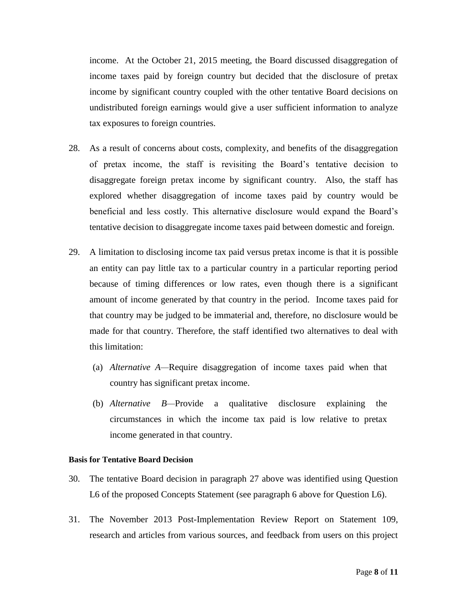income. At the October 21, 2015 meeting, the Board discussed disaggregation of income taxes paid by foreign country but decided that the disclosure of pretax income by significant country coupled with the other tentative Board decisions on undistributed foreign earnings would give a user sufficient information to analyze tax exposures to foreign countries.

- 28. As a result of concerns about costs, complexity, and benefits of the disaggregation of pretax income, the staff is revisiting the Board's tentative decision to disaggregate foreign pretax income by significant country. Also, the staff has explored whether disaggregation of income taxes paid by country would be beneficial and less costly. This alternative disclosure would expand the Board's tentative decision to disaggregate income taxes paid between domestic and foreign.
- 29. A limitation to disclosing income tax paid versus pretax income is that it is possible an entity can pay little tax to a particular country in a particular reporting period because of timing differences or low rates, even though there is a significant amount of income generated by that country in the period. Income taxes paid for that country may be judged to be immaterial and, therefore, no disclosure would be made for that country. Therefore, the staff identified two alternatives to deal with this limitation:
	- (a) *Alternative A—*Require disaggregation of income taxes paid when that country has significant pretax income.
	- (b) *Alternative B—*Provide a qualitative disclosure explaining the circumstances in which the income tax paid is low relative to pretax income generated in that country.

#### **Basis for Tentative Board Decision**

- 30. The tentative Board decision in paragraph 27 above was identified using Question L6 of the proposed Concepts Statement (see paragraph 6 above for Question L6).
- 31. The November 2013 Post-Implementation Review Report on Statement 109, research and articles from various sources, and feedback from users on this project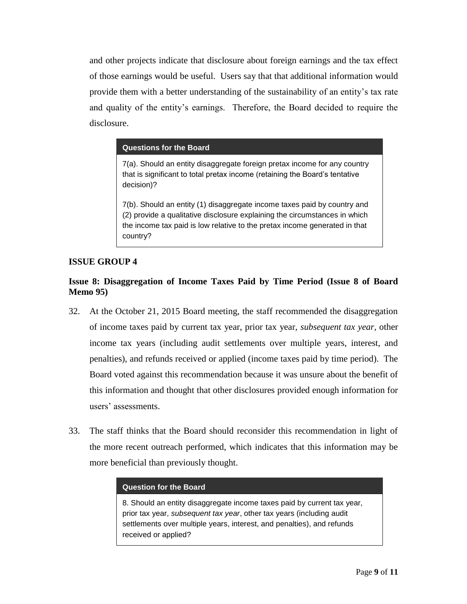and other projects indicate that disclosure about foreign earnings and the tax effect of those earnings would be useful. Users say that that additional information would provide them with a better understanding of the sustainability of an entity's tax rate and quality of the entity's earnings. Therefore, the Board decided to require the disclosure.

#### **Questions for the Board**

7(a). Should an entity disaggregate foreign pretax income for any country that is significant to total pretax income (retaining the Board's tentative decision)?

7(b). Should an entity (1) disaggregate income taxes paid by country and (2) provide a qualitative disclosure explaining the circumstances in which the income tax paid is low relative to the pretax income generated in that country?

## **ISSUE GROUP 4**

# **Issue 8: Disaggregation of Income Taxes Paid by Time Period (Issue 8 of Board Memo 95)**

- 32. At the October 21, 2015 Board meeting, the staff recommended the disaggregation of income taxes paid by current tax year, prior tax year, *subsequent tax year,* other income tax years (including audit settlements over multiple years, interest, and penalties), and refunds received or applied (income taxes paid by time period). The Board voted against this recommendation because it was unsure about the benefit of this information and thought that other disclosures provided enough information for users' assessments.
- 33. The staff thinks that the Board should reconsider this recommendation in light of the more recent outreach performed, which indicates that this information may be more beneficial than previously thought.

#### **Question for the Board**

8. Should an entity disaggregate income taxes paid by current tax year, prior tax year, *subsequent tax year*, other tax years (including audit settlements over multiple years, interest, and penalties), and refunds received or applied?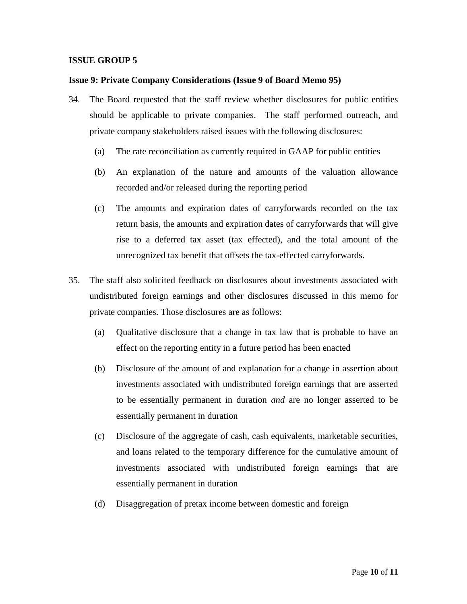#### **Issue 9: Private Company Considerations (Issue 9 of Board Memo 95)**

- 34. The Board requested that the staff review whether disclosures for public entities should be applicable to private companies. The staff performed outreach, and private company stakeholders raised issues with the following disclosures:
	- (a) The rate reconciliation as currently required in GAAP for public entities
	- (b) An explanation of the nature and amounts of the valuation allowance recorded and/or released during the reporting period
	- (c) The amounts and expiration dates of carryforwards recorded on the tax return basis, the amounts and expiration dates of carryforwards that will give rise to a deferred tax asset (tax effected), and the total amount of the unrecognized tax benefit that offsets the tax-effected carryforwards.
- 35. The staff also solicited feedback on disclosures about investments associated with undistributed foreign earnings and other disclosures discussed in this memo for private companies. Those disclosures are as follows:
	- (a) Qualitative disclosure that a change in tax law that is probable to have an effect on the reporting entity in a future period has been enacted
	- (b) Disclosure of the amount of and explanation for a change in assertion about investments associated with undistributed foreign earnings that are asserted to be essentially permanent in duration *and* are no longer asserted to be essentially permanent in duration
	- (c) Disclosure of the aggregate of cash, cash equivalents, marketable securities, and loans related to the temporary difference for the cumulative amount of investments associated with undistributed foreign earnings that are essentially permanent in duration
	- (d) Disaggregation of pretax income between domestic and foreign